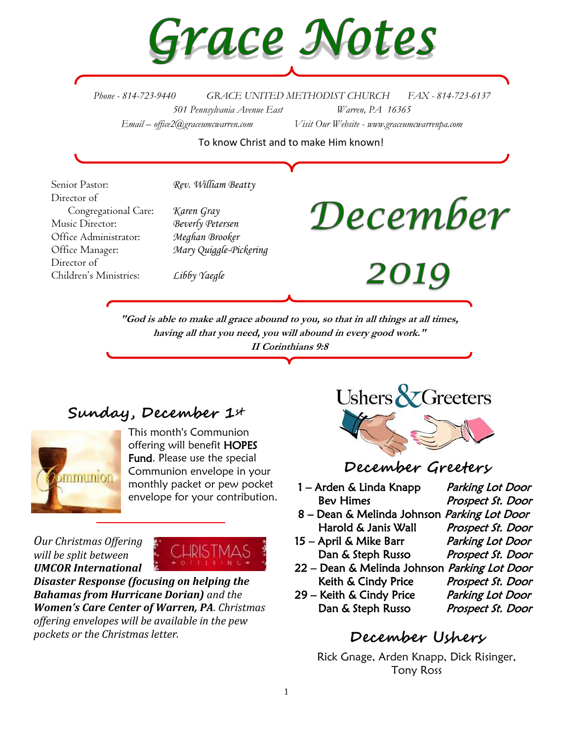

*Phone - 814-723-9440 GRACE UNITED METHODIST CHURCH FAX - 814-723-6137 501 Pennsylvania Avenue East Warren, PA 16365 Email – office2@graceumcwarren.com Visit Our Website - www.graceumcwarrenpa.com* 

To know Christ and to make Him known!

Senior Pastor: *Rev. William Beatty* Director of Congregational Care: *Karen Gray* Music Director: *Beverly Petersen* Office Administrator: *Meghan Brooker* Office Manager: *Mary Quiggle-Pickering* Director of Children's Ministries: *Libby Yaegle*

# December

2019

**"God is able to make all grace abound to you, so that in all things at all times, having all that you need, you will abound in every good work." II Corinthians 9:8**

## **Sunday, December 1st**



This month's Communion offering will benefit HOPES Fund. Please use the special Communion envelope in your monthly packet or pew pocket envelope for your contribution.

*Our Christmas Offering will be split between UMCOR International* 



*Disaster Response (focusing on helping the Bahamas from Hurricane Dorian) and the Women's Care Center of Warren, PA. Christmas offering envelopes will be available in the pew pockets or the Christmas letter.*



### **December Greeters**

- 1 Arden & Linda Knapp Parking Lot Door Bev Himes Prospect St. Door
- 8 Dean & Melinda Johnson Parking Lot Door Harold & Janis Wall Prospect St. Door
- 15 April & Mike Barr Parking Lot Door Dan & Steph Russo Prospect St. Door
- 22 Dean & Melinda Johnson Parking Lot Door Keith & Cindy Price Prospect St. Door
- 29 Keith & Cindy Price Parking Lot Door Dan & Steph Russo Prospect St. Door

- 
- 
- 

# **December Ushers**

Rick Gnage, Arden Knapp, Dick Risinger, Tony Ross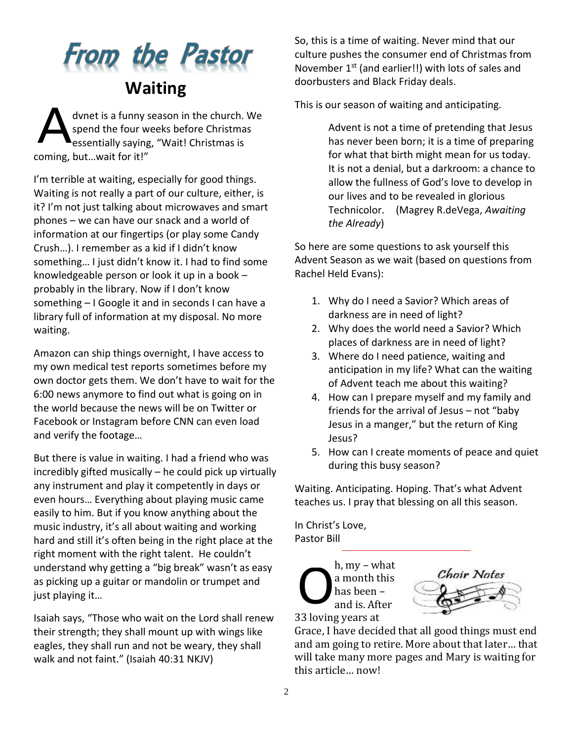# **From the Pastor Waiting**

dvnet is a funny season in the church. We spend the four weeks before Christmas essentially saying, "Wait! Christmas is coming, but…wait for it!" A

I'm terrible at waiting, especially for good things. Waiting is not really a part of our culture, either, is it? I'm not just talking about microwaves and smart phones – we can have our snack and a world of information at our fingertips (or play some Candy Crush…). I remember as a kid if I didn't know something… I just didn't know it. I had to find some knowledgeable person or look it up in a book – probably in the library. Now if I don't know something – I Google it and in seconds I can have a library full of information at my disposal. No more waiting.

Amazon can ship things overnight, I have access to my own medical test reports sometimes before my own doctor gets them. We don't have to wait for the 6:00 news anymore to find out what is going on in the world because the news will be on Twitter or Facebook or Instagram before CNN can even load and verify the footage…

But there is value in waiting. I had a friend who was incredibly gifted musically – he could pick up virtually any instrument and play it competently in days or even hours… Everything about playing music came easily to him. But if you know anything about the music industry, it's all about waiting and working hard and still it's often being in the right place at the right moment with the right talent. He couldn't understand why getting a "big break" wasn't as easy as picking up a guitar or mandolin or trumpet and just playing it…

Isaiah says, "Those who wait on the Lord shall renew their strength; they shall mount up with wings like eagles, they shall run and not be weary, they shall walk and not faint." (Isaiah 40:31 NKJV)

So, this is a time of waiting. Never mind that our culture pushes the consumer end of Christmas from November 1<sup>st</sup> (and earlier!!) with lots of sales and doorbusters and Black Friday deals.

This is our season of waiting and anticipating.

Advent is not a time of pretending that Jesus has never been born; it is a time of preparing for what that birth might mean for us today. It is not a denial, but a darkroom: a chance to allow the fullness of God's love to develop in our lives and to be revealed in glorious Technicolor. (Magrey R.deVega, *Awaiting the Already*)

So here are some questions to ask yourself this Advent Season as we wait (based on questions from Rachel Held Evans):

- 1. Why do I need a Savior? Which areas of darkness are in need of light?
- 2. Why does the world need a Savior? Which places of darkness are in need of light?
- 3. Where do I need patience, waiting and anticipation in my life? What can the waiting of Advent teach me about this waiting?
- 4. How can I prepare myself and my family and friends for the arrival of Jesus – not "baby Jesus in a manger," but the return of King Jesus?
- 5. How can I create moments of peace and quiet during this busy season?

Waiting. Anticipating. Hoping. That's what Advent teaches us. I pray that blessing on all this season.

In Christ's Love, Pastor Bill

h, my – what a month this has been – and is. After 33 loving years at O



Grace, I have decided that all good things must end and am going to retire. More about that later… that will take many more pages and Mary is waiting for this article… now!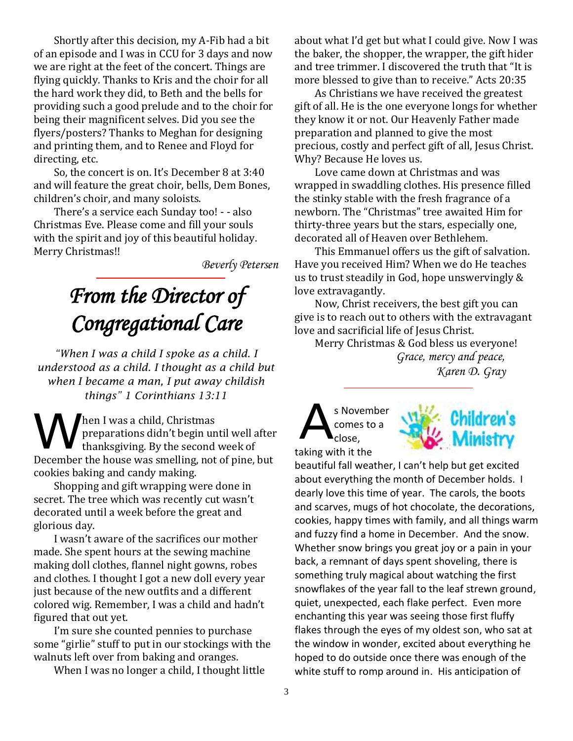Shortly after this decision, my A-Fib had a bit of an episode and I was in CCU for 3 days and now we are right at the feet of the concert. Things are flying quickly. Thanks to Kris and the choir for all the hard work they did, to Beth and the bells for providing such a good prelude and to the choir for being their magnificent selves. Did you see the flyers/posters? Thanks to Meghan for designing and printing them, and to Renee and Floyd for directing, etc.

So, the concert is on. It's December 8 at 3:40 and will feature the great choir, bells, Dem Bones, children's choir, and many soloists.

There's a service each Sunday too! - - also Christmas Eve. Please come and fill your souls with the spirit and joy of this beautiful holiday. Merry Christmas!!

*Beverly Petersen*

# *From the Director of Congregational Care*

*"When I was a child I spoke as a child. I understood as a child. I thought as a child but when I became a man, I put away childish things" 1 Corinthians 13:11*

hen I was a child, Christmas preparations didn't begin until well after thanksgiving. By the second week of December the house was smelling, not of pine, but cookies baking and candy making. Then I was a child, Christmas<br>preparations didn't begin until well after<br>thanksgiving. By the second week of<br>taking w

Shopping and gift wrapping were done in secret. The tree which was recently cut wasn't decorated until a week before the great and glorious day.

I wasn't aware of the sacrifices our mother made. She spent hours at the sewing machine making doll clothes, flannel night gowns, robes and clothes. I thought I got a new doll every year just because of the new outfits and a different colored wig. Remember, I was a child and hadn't figured that out yet.

I'm sure she counted pennies to purchase some "girlie" stuff to put in our stockings with the walnuts left over from baking and oranges.

When I was no longer a child, I thought little

about what I'd get but what I could give. Now I was the baker, the shopper, the wrapper, the gift hider and tree trimmer. I discovered the truth that "It is more blessed to give than to receive." Acts 20:35

As Christians we have received the greatest gift of all. He is the one everyone longs for whether they know it or not. Our Heavenly Father made preparation and planned to give the most precious, costly and perfect gift of all, Jesus Christ. Why? Because He loves us.

Love came down at Christmas and was wrapped in swaddling clothes. His presence filled the stinky stable with the fresh fragrance of a newborn. The "Christmas" tree awaited Him for thirty-three years but the stars, especially one, decorated all of Heaven over Bethlehem.

This Emmanuel offers us the gift of salvation. Have you received Him? When we do He teaches us to trust steadily in God, hope unswervingly & love extravagantly.

Now, Christ receivers, the best gift you can give is to reach out to others with the extravagant love and sacrificial life of Jesus Christ.

Merry Christmas & God bless us everyone! *Grace, mercy and peace, Karen D. Gray*

s November comes to a close, taking with it the



beautiful fall weather, I can't help but get excited about everything the month of December holds. I dearly love this time of year. The carols, the boots and scarves, mugs of hot chocolate, the decorations, cookies, happy times with family, and all things warm and fuzzy find a home in December. And the snow. Whether snow brings you great joy or a pain in your back, a remnant of days spent shoveling, there is something truly magical about watching the first snowflakes of the year fall to the leaf strewn ground, quiet, unexpected, each flake perfect. Even more enchanting this year was seeing those first fluffy flakes through the eyes of my oldest son, who sat at the window in wonder, excited about everything he hoped to do outside once there was enough of the white stuff to romp around in. His anticipation of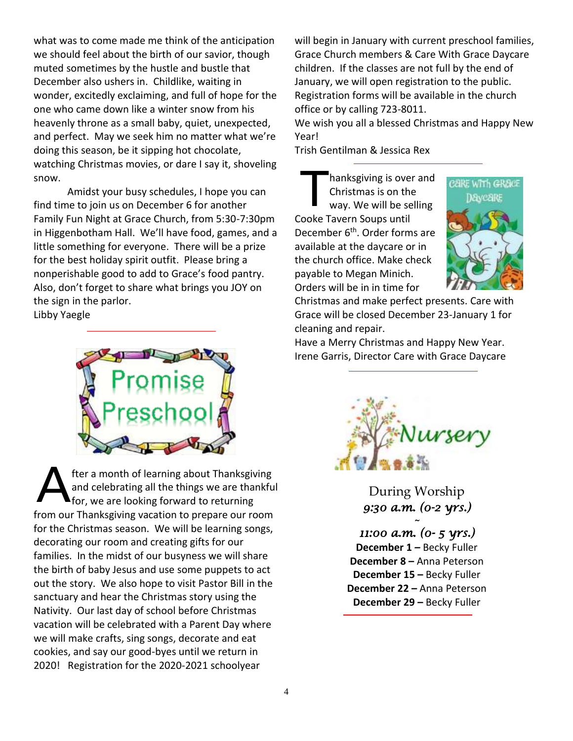what was to come made me think of the anticipation we should feel about the birth of our savior, though muted sometimes by the hustle and bustle that December also ushers in. Childlike, waiting in wonder, excitedly exclaiming, and full of hope for the one who came down like a winter snow from his heavenly throne as a small baby, quiet, unexpected, and perfect. May we seek him no matter what we're doing this season, be it sipping hot chocolate, watching Christmas movies, or dare I say it, shoveling snow.

Amidst your busy schedules, I hope you can find time to join us on December 6 for another Family Fun Night at Grace Church, from 5:30-7:30pm in Higgenbotham Hall. We'll have food, games, and a little something for everyone. There will be a prize for the best holiday spirit outfit. Please bring a nonperishable good to add to Grace's food pantry. Also, don't forget to share what brings you JOY on the sign in the parlor. Libby Yaegle

fter a month of learning about Thanksgiving and celebrating all the things we are thankful for, we are looking forward to returning from our Thanksgiving vacation to prepare our room for the Christmas season. We will be learning songs, decorating our room and creating gifts for our families. In the midst of our busyness we will share the birth of baby Jesus and use some puppets to act out the story. We also hope to visit Pastor Bill in the sanctuary and hear the Christmas story using the Nativity. Our last day of school before Christmas vacation will be celebrated with a Parent Day where we will make crafts, sing songs, decorate and eat cookies, and say our good-byes until we return in 2020! Registration for the 2020-2021 schoolyear A

will begin in January with current preschool families, Grace Church members & Care With Grace Daycare children. If the classes are not full by the end of January, we will open registration to the public. Registration forms will be available in the church office or by calling 723-8011.

We wish you all a blessed Christmas and Happy New Year!

Trish Gentilman & Jessica Rex

hanksgiving is over and Christmas is on the way. We will be selling Cooke Tavern Soups until December 6<sup>th</sup>. Order forms are available at the daycare or in the church office. Make check payable to Megan Minich. Orders will be in in time for T



Christmas and make perfect presents. Care with Grace will be closed December 23-January 1 for cleaning and repair.

Have a Merry Christmas and Happy New Year. Irene Garris, Director Care with Grace Daycare



During Worship *9:30 a.m. (0-2 yrs.)* 

*~* 

*11:00 a.m. (0- 5 yrs.)*  **December 1** *–* Becky Fuller **December 8 –** Anna Peterson **December 15 –** Becky Fuller **December 22 –** Anna Peterson **December 29 –** Becky Fuller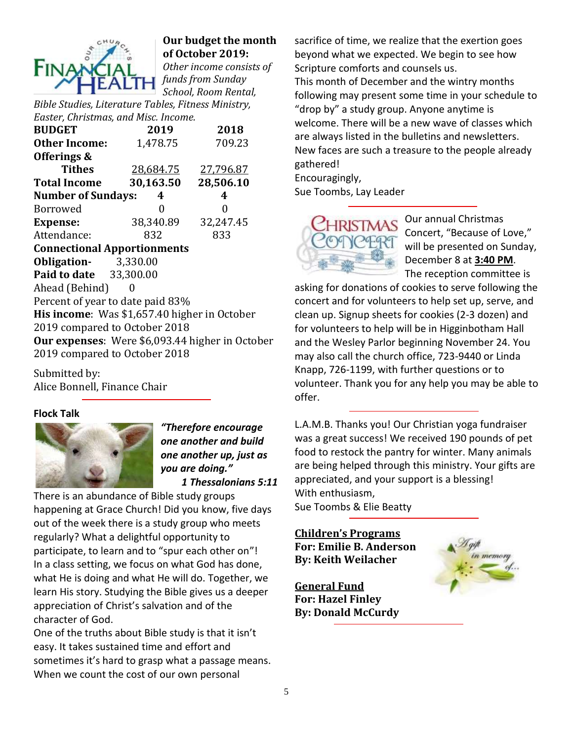

#### **Our budget the month of October 2019:**

*Other income consists of funds from Sunday School, Room Rental,* 

*Bible Studies, Literature Tables, Fitness Ministry, Easter, Christmas, and Misc. Income.*

| 2019                                                                                    | 2018      |  |  |  |  |  |  |  |
|-----------------------------------------------------------------------------------------|-----------|--|--|--|--|--|--|--|
| 1,478.75                                                                                | 709.23    |  |  |  |  |  |  |  |
|                                                                                         |           |  |  |  |  |  |  |  |
| 28,684.75                                                                               | 27,796.87 |  |  |  |  |  |  |  |
| 30,163.50                                                                               | 28,506.10 |  |  |  |  |  |  |  |
| <b>Number of Sundays:</b><br>4                                                          | 4         |  |  |  |  |  |  |  |
| 0                                                                                       | 0         |  |  |  |  |  |  |  |
| 38,340.89                                                                               | 32,247.45 |  |  |  |  |  |  |  |
| 832                                                                                     | 833       |  |  |  |  |  |  |  |
| <b>Connectional Apportionments</b>                                                      |           |  |  |  |  |  |  |  |
| <b>Obligation-</b> 3,330.00                                                             |           |  |  |  |  |  |  |  |
| <b>Paid to date</b> 33,300.00                                                           |           |  |  |  |  |  |  |  |
| Ahead (Behind)                                                                          |           |  |  |  |  |  |  |  |
| Percent of year to date paid 83%                                                        |           |  |  |  |  |  |  |  |
| His income: Was \$1,657.40 higher in October                                            |           |  |  |  |  |  |  |  |
| 2019 compared to October 2018                                                           |           |  |  |  |  |  |  |  |
| <b>Our expenses:</b> Were \$6,093.44 higher in October<br>2019 compared to October 2018 |           |  |  |  |  |  |  |  |
|                                                                                         |           |  |  |  |  |  |  |  |

Submitted by: Alice Bonnell, Finance Chair

#### **Flock Talk**



*"Therefore encourage one another and build one another up, just as you are doing." 1 Thessalonians 5:11*

There is an abundance of Bible study groups happening at Grace Church! Did you know, five days out of the week there is a study group who meets regularly? What a delightful opportunity to participate, to learn and to "spur each other on"! In a class setting, we focus on what God has done, what He is doing and what He will do. Together, we learn His story. Studying the Bible gives us a deeper appreciation of Christ's salvation and of the character of God.

One of the truths about Bible study is that it isn't easy. It takes sustained time and effort and sometimes it's hard to grasp what a passage means. When we count the cost of our own personal

sacrifice of time, we realize that the exertion goes beyond what we expected. We begin to see how Scripture comforts and counsels us. This month of December and the wintry months following may present some time in your schedule to "drop by" a study group. Anyone anytime is welcome. There will be a new wave of classes which are always listed in the bulletins and newsletters. New faces are such a treasure to the people already gathered!

Encouragingly, Sue Toombs, Lay Leader



Our annual Christmas Concert, "Because of Love," will be presented on Sunday, December 8 at **3:40 PM**. The reception committee is

asking for donations of cookies to serve following the concert and for volunteers to help set up, serve, and clean up. Signup sheets for cookies (2-3 dozen) and for volunteers to help will be in Higginbotham Hall and the Wesley Parlor beginning November 24. You may also call the church office, 723-9440 or Linda Knapp, 726-1199, with further questions or to volunteer. Thank you for any help you may be able to offer.

L.A.M.B. Thanks you! Our Christian yoga fundraiser was a great success! We received 190 pounds of pet food to restock the pantry for winter. Many animals are being helped through this ministry. Your gifts are appreciated, and your support is a blessing! With enthusiasm, Sue Toombs & Elie Beatty

#### **Children's Programs**

**For: Emilie B. Anderson By: Keith Weilacher**

**General Fund For: Hazel Finley By: Donald McCurdy**

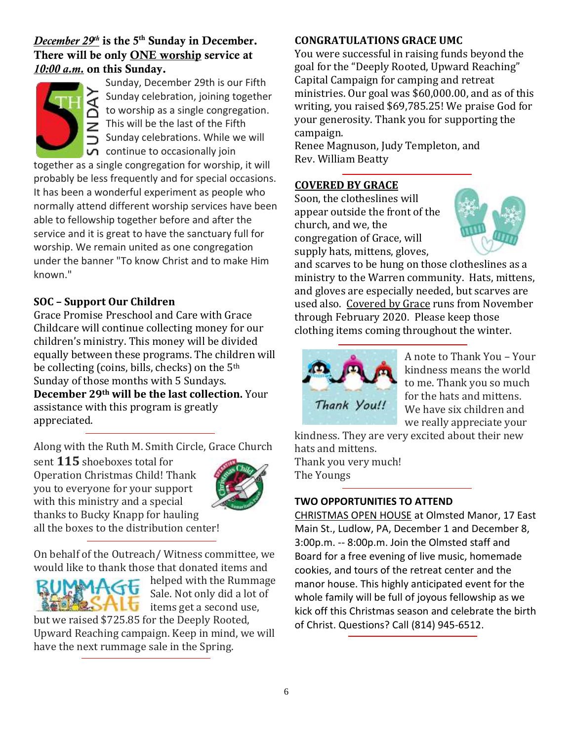#### *December*  $29<sup>th</sup>$  is the 5<sup>th</sup> Sunday in December. There will be only ONE worship service at *10:00 a.m.* on this Sunday.



Sunday, December 29th is our Fifth Sunday celebration, joining together to worship as a single congregation. This will be the last of the Fifth Sunday celebrations. While we will  $\overline{u}$  continue to occasionally join

together as a single congregation for worship, it will probably be less frequently and for special occasions. It has been a wonderful experiment as people who normally attend different worship services have been able to fellowship together before and after the service and it is great to have the sanctuary full for worship. We remain united as one congregation under the banner "To know Christ and to make Him known."

#### **SOC – Support Our Children**

Grace Promise Preschool and Care with Grace Childcare will continue collecting money for our children's ministry. This money will be divided equally between these programs. The children will be collecting (coins, bills, checks) on the 5th Sunday of those months with 5 Sundays. **December 29th will be the last collection.** Your assistance with this program is greatly appreciated.

Along with the Ruth M. Smith Circle, Grace Church

sent **115** shoeboxes total for Operation Christmas Child! Thank you to everyone for your support with this ministry and a special thanks to Bucky Knapp for hauling all the boxes to the distribution center!



On behalf of the Outreach/ Witness committee, we would like to thank those that donated items and



helped with the Rummage Sale. Not only did a lot of this items get a second use,

but we raised \$725.85 for the Deeply Rooted, Upward Reaching campaign. Keep in mind, we will have the next rummage sale in the Spring.

#### **CONGRATULATIONS GRACE UMC**

You were successful in raising funds beyond the goal for the "Deeply Rooted, Upward Reaching" Capital Campaign for camping and retreat ministries. Our goal was \$60,000.00, and as of this writing, you raised \$69,785.25! We praise God for your generosity. Thank you for supporting the campaign.

Renee Magnuson, Judy Templeton, and Rev. William Beatty

#### **COVERED BY GRACE**

Soon, the clotheslines will appear outside the front of the church, and we, the congregation of Grace, will supply hats, mittens, gloves,



and scarves to be hung on those clotheslines as a ministry to the Warren community. Hats, mittens, and gloves are especially needed, but scarves are used also. Covered by Grace runs from November through February 2020. Please keep those clothing items coming throughout the winter.



A note to Thank You – Your kindness means the world to me. Thank you so much for the hats and mittens. We have six children and we really appreciate your

kindness. They are very excited about their new hats and mittens. Thank you very much! The Youngs

#### **TWO OPPORTUNITIES TO ATTEND**

CHRISTMAS OPEN HOUSE at Olmsted Manor, 17 East Main St., Ludlow, PA, December 1 and December 8, 3:00p.m. -- 8:00p.m. Join the Olmsted staff and Board for a free evening of live music, homemade cookies, and tours of the retreat center and the manor house. This highly anticipated event for the whole family will be full of joyous fellowship as we kick off this Christmas season and celebrate the birth of Christ. Questions? Call (814) 945-6512.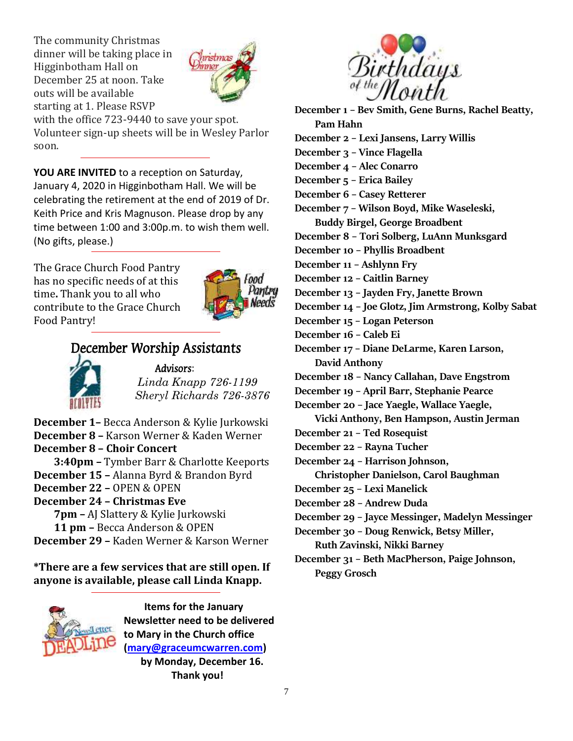The community Christmas dinner will be taking place in Higginbotham Hall on December 25 at noon. Take outs will be available starting at 1. Please RSVP



with the office 723-9440 to save your spot. Volunteer sign-up sheets will be in Wesley Parlor soon.

**YOU ARE INVITED** to a reception on Saturday, January 4, 2020 in Higginbotham Hall. We will be celebrating the retirement at the end of 2019 of Dr. Keith Price and Kris Magnuson. Please drop by any time between 1:00 and 3:00p.m. to wish them well. (No gifts, please.)

The Grace Church Food Pantry has no specific needs of at this time**.** Thank you to all who contribute to the Grace Church Food Pantry!



### December Worship Assistants



#### Advisors: *Linda Knapp 726-1199 Sheryl Richards 726-3876*

**December 1–** Becca Anderson & Kylie Jurkowski **December 8 –** Karson Werner & Kaden Werner **December 8 – Choir Concert 3:40pm –** Tymber Barr & Charlotte Keeports **December 15 –** Alanna Byrd & Brandon Byrd **December 22 –** OPEN & OPEN **December 24 – Christmas Eve 7pm –** AJ Slattery & Kylie Jurkowski **11 pm –** Becca Anderson & OPEN **December 29 –** Kaden Werner & Karson Werner

**\*There are a few services that are still open. If anyone is available, please call Linda Knapp.**



 **Items for the January Newsletter need to be delivered to Mary in the Church office [\(mary@graceumcwarren.com\)](mailto:mary@graceumcwarren.com) by Monday, December 16. Thank you!**



**December 1 – Bev Smith, Gene Burns, Rachel Beatty, Pam Hahn December 2 – Lexi Jansens, Larry Willis December 3 – Vince Flagella December 4 – Alec Conarro December 5 – Erica Bailey December 6 – Casey Retterer December 7 – Wilson Boyd, Mike Waseleski, Buddy Birgel, George Broadbent December 8 – Tori Solberg, LuAnn Munksgard December 10 – Phyllis Broadbent December 11 – Ashlynn Fry December 12 – Caitlin Barney December 13 – Jayden Fry, Janette Brown December 14 – Joe Glotz, Jim Armstrong, Kolby Sabat December 15 – Logan Peterson December 16 – Caleb Ei December 17 – Diane DeLarme, Karen Larson, David Anthony December 18 – Nancy Callahan, Dave Engstrom December 19 – April Barr, Stephanie Pearce December 20 – Jace Yaegle, Wallace Yaegle, Vicki Anthony, Ben Hampson, Austin Jerman December 21 – Ted Rosequist December 22 – Rayna Tucher December 24 – Harrison Johnson, Christopher Danielson, Carol Baughman December 25 – Lexi Manelick December 28 – Andrew Duda December 29 – Jayce Messinger, Madelyn Messinger December 30 – Doug Renwick, Betsy Miller, Ruth Zavinski, Nikki Barney December 31 – Beth MacPherson, Paige Johnson, Peggy Grosch**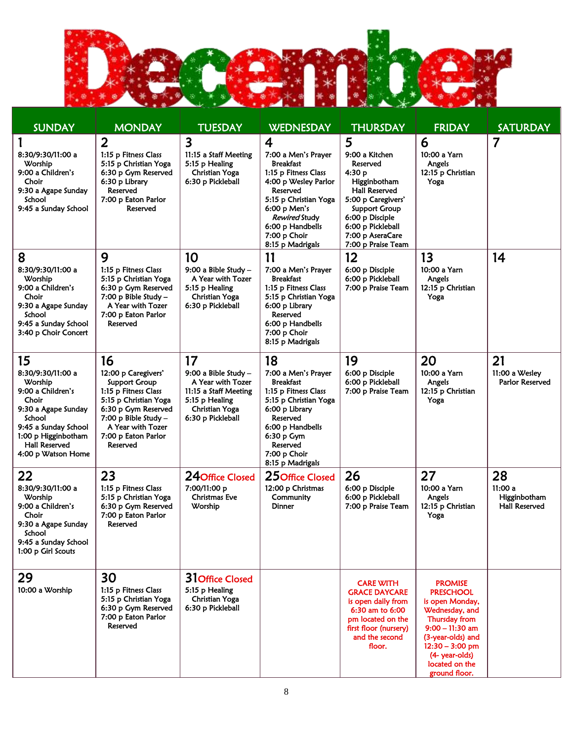

| <b>SUNDAY</b>                                                                                                                                                                                  | <b>MONDAY</b>                                                                                                                                                                                      | <b>TUESDAY</b>                                                                                                                    | <b>WEDNESDAY</b>                                                                                                                                                                                                                                        | <b>THURSDAY</b>                                                                                                                                                                                                   | <b>FRIDAY</b>                                                                                                                                                                                                | <b>SATURDAY</b>                                      |
|------------------------------------------------------------------------------------------------------------------------------------------------------------------------------------------------|----------------------------------------------------------------------------------------------------------------------------------------------------------------------------------------------------|-----------------------------------------------------------------------------------------------------------------------------------|---------------------------------------------------------------------------------------------------------------------------------------------------------------------------------------------------------------------------------------------------------|-------------------------------------------------------------------------------------------------------------------------------------------------------------------------------------------------------------------|--------------------------------------------------------------------------------------------------------------------------------------------------------------------------------------------------------------|------------------------------------------------------|
| 8:30/9:30/11:00 a<br>Worship<br>9:00 a Children's<br>Choir<br>9:30 a Agape Sunday<br>School<br>9:45 a Sunday School                                                                            | 2<br>1:15 p Fitness Class<br>5:15 p Christian Yoga<br>6:30 p Gym Reserved<br>6:30 p Library<br>Reserved<br>7:00 p Eaton Parlor<br>Reserved                                                         | $\overline{\mathbf{3}}$<br>11:15 a Staff Meeting<br>5:15 p Healing<br>Christian Yoga<br>6:30 p Pickleball                         | $\overline{\mathbf{4}}$<br>7:00 a Men's Prayer<br><b>Breakfast</b><br>1:15 p Fitness Class<br>4:00 p Wesley Parlor<br>Reserved<br>5:15 p Christian Yoga<br>6:00 p Men's<br><i>Rewired</i> Study<br>6:00 p Handbells<br>7:00 p Choir<br>8:15 p Madrigals | 5<br>9:00 a Kitchen<br>Reserved<br>4:30 p<br>Higginbotham<br><b>Hall Reserved</b><br>5:00 p Caregivers'<br><b>Support Group</b><br>6:00 p Disciple<br>6:00 p Pickleball<br>7:00 p AseraCare<br>7:00 p Praise Team | 6<br>10:00 a Yarn<br>Angels<br>12:15 p Christian<br>Yoga                                                                                                                                                     | $\overline{7}$                                       |
| 8<br>8:30/9:30/11:00 a<br>Worship<br>9:00 a Children's<br>Choir<br>9:30 a Agape Sunday<br>School<br>9:45 a Sunday School<br>3:40 p Choir Concert                                               | 9<br>1:15 p Fitness Class<br>5:15 p Christian Yoga<br>6:30 p Gym Reserved<br>$7:00$ p Bible Study -<br>A Year with Tozer<br>7:00 p Eaton Parlor<br>Reserved                                        | 10<br>9:00 a Bible Study -<br>A Year with Tozer<br>5:15 p Healing<br><b>Christian Yoga</b><br>6:30 p Pickleball                   | 11<br>7:00 a Men's Prayer<br><b>Breakfast</b><br>1:15 p Fitness Class<br>5:15 p Christian Yoga<br>6:00 p Library<br>Reserved<br>6:00 p Handbells<br>7:00 p Choir<br>8:15 p Madrigals                                                                    | 12<br>6:00 p Disciple<br>6:00 p Pickleball<br>7:00 p Praise Team                                                                                                                                                  | 13<br>10:00 a Yarn<br>Angels<br>12:15 p Christian<br>Yoga                                                                                                                                                    | 14                                                   |
| 15<br>8:30/9:30/11:00 a<br>Worship<br>9:00 a Children's<br>Choir<br>9:30 a Agape Sunday<br>School<br>9:45 a Sunday School<br>1:00 p Higginbotham<br><b>Hall Reserved</b><br>4:00 p Watson Home | 16<br>12:00 p Caregivers'<br>Support Group<br>1:15 p Fitness Class<br>5:15 p Christian Yoga<br>6:30 p Gym Reserved<br>7:00 p Bible Study -<br>A Year with Tozer<br>7:00 p Eaton Parlor<br>Reserved | 17<br>9:00 a Bible Study -<br>A Year with Tozer<br>11:15 a Staff Meeting<br>5:15 p Healing<br>Christian Yoga<br>6:30 p Pickleball | 18<br>7:00 a Men's Prayer<br><b>Breakfast</b><br>1:15 p Fitness Class<br>5:15 p Christian Yoga<br>6:00 p Library<br>Reserved<br>6:00 p Handbells<br>6:30 p Gym<br>Reserved<br>7:00 p Choir<br>8:15 p Madrigals                                          | 19<br>6:00 p Disciple<br>6:00 p Pickleball<br>7:00 p Praise Team                                                                                                                                                  | 20<br>10:00 a Yarn<br>Angels<br>12:15 p Christian<br>Yoga                                                                                                                                                    | 21<br>11:00 a Wesley<br>Parlor Reserved              |
| 22<br>8:30/9:30/11:00 a<br>Worship<br>9:00 a Children's<br>Choir<br>9:30 a Agape Sunday<br>School<br>9:45 a Sunday School<br>1:00 p Girl Scouts                                                | 23<br>1:15 p Fitness Class<br>5:15 p Christian Yoga<br>6:30 p Gym Reserved<br>7:00 p Eaton Parlor<br>Reserved                                                                                      | 24 Office Closed<br>7:00/11:00 p<br>Christmas Eve<br>Worship                                                                      | 25 Office Closed<br>12:00 p Christmas<br>Community<br>Dinner                                                                                                                                                                                            | 26<br>6:00 p Disciple<br>6:00 p Pickleball<br>7:00 p Praise Team                                                                                                                                                  | 27<br>10:00 a Yarn<br>Angels<br>12:15 p Christian<br>Yoga                                                                                                                                                    | 28<br>11:00a<br>Higginbotham<br><b>Hall Reserved</b> |
| 29<br>10:00 a Worship                                                                                                                                                                          | 30<br>1:15 p Fitness Class<br>5:15 p Christian Yoga<br>6:30 p Gym Reserved<br>7:00 p Eaton Parlor<br>Reserved                                                                                      | 31Office Closed<br>5:15 p Healing<br>Christian Yoga<br>6:30 p Pickleball                                                          |                                                                                                                                                                                                                                                         | <b>CARE WITH</b><br><b>GRACE DAYCARE</b><br>is open daily from<br>6:30 am to 6:00<br>pm located on the<br>first floor (nursery)<br>and the second<br>floor.                                                       | <b>PROMISE</b><br><b>PRESCHOOL</b><br>is open Monday,<br>Wednesday, and<br>Thursday from<br>$9:00 - 11:30$ am<br>(3-year-olds) and<br>$12:30 - 3:00$ pm<br>(4- year-olds)<br>located on the<br>ground floor. |                                                      |